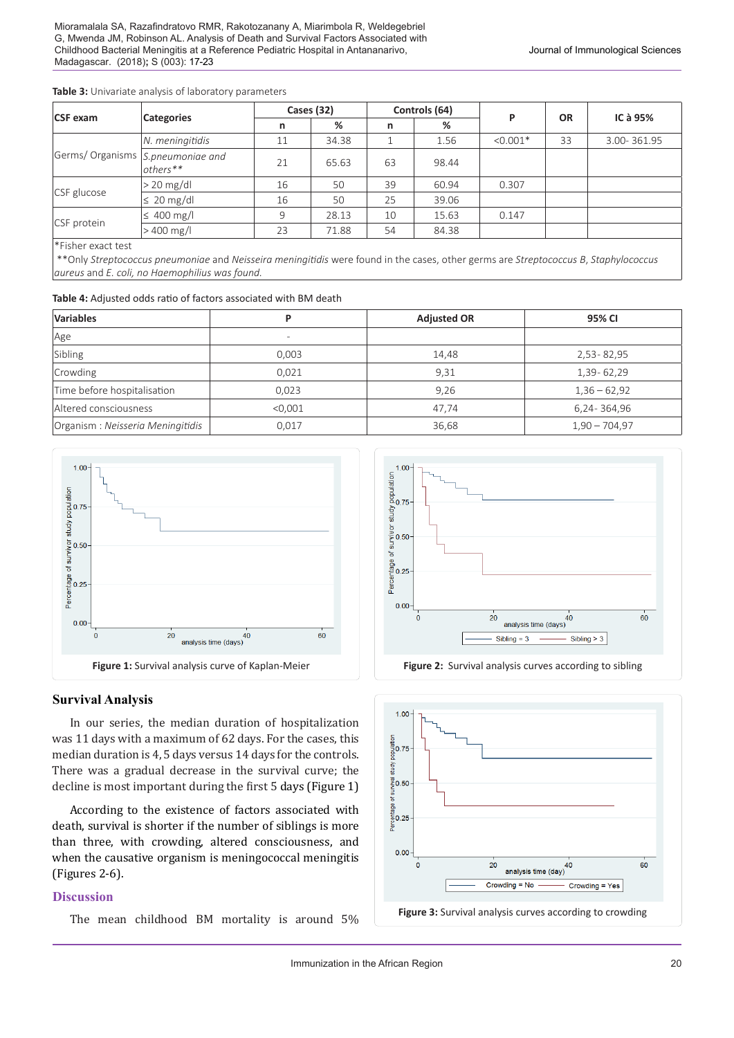#### **Table 3:** Univariate analysis of laboratory parameters

| <b>CSF</b> exam                   | <b>Categories</b>       | Cases (32) |       | Controls (64) |       | P          | <b>OR</b> | IC à 95%    |
|-----------------------------------|-------------------------|------------|-------|---------------|-------|------------|-----------|-------------|
|                                   |                         | n          | %     | n             | %     |            |           |             |
| Germs/ Organisms S.pneumoniae and | N. meningitidis         | 11         | 34.38 |               | 1.56  | $< 0.001*$ | 33        | 3.00-361.95 |
|                                   | $\text{others}$ **      | 21         | 65.63 | 63            | 98.44 |            |           |             |
| CSF glucose                       | $> 20$ mg/dl            | 16         | 50    | 39            | 60.94 | 0.307      |           |             |
|                                   | $\leq 20 \text{ mg/dl}$ | 16         | 50    | 25            | 39.06 |            |           |             |
| CSF protein                       | $\leq 400$ mg/l         | 9          | 28.13 | 10            | 15.63 | 0.147      |           |             |
|                                   | $>400$ mg/l             | 23         | 71.88 | 54            | 84.38 |            |           |             |

\*Fisher exact test

\*\*Only *Streptococcus pneumoniae* and *Neisseira meningitidis* were found in the cases, other germs are *Streptococcus B*, *Staphylococcus aureus* and *E. coli, no Haemophilius was found.*

| <b>Variables</b>                 |                          | <b>Adjusted OR</b> | 95% CI          |  |
|----------------------------------|--------------------------|--------------------|-----------------|--|
| Age                              | $\overline{\phantom{a}}$ |                    |                 |  |
| Sibling                          | 0.003                    | 14,48              | 2,53 - 82,95    |  |
| Crowding                         | 0.021                    | 9.31               | 1,39-62,29      |  |
| Time before hospitalisation      | 0.023                    | 9.26               | $1,36 - 62,92$  |  |
| Altered consciousness            | < 0.001                  | 47,74              | 6,24 - 364,96   |  |
| Organism: Neisseria Meningitidis | 0,017                    | 36,68              | $1,90 - 704,97$ |  |



## **Survival Analysis**

In our series, the median duration of hospitalization was 11 days with a maximum of 62 days. For the cases, this median duration is 4, 5 days versus 14 days for the controls. There was a gradual decrease in the survival curve; the decline is most important during the first 5 days (Figure 1)

According to the existence of factors associated with death, survival is shorter if the number of siblings is more than three, with crowding, altered consciousness, and when the causative organism is meningococcal meningitis (Figures 2-6).

# **Discussion**

The mean childhood BM mortality is around 5%



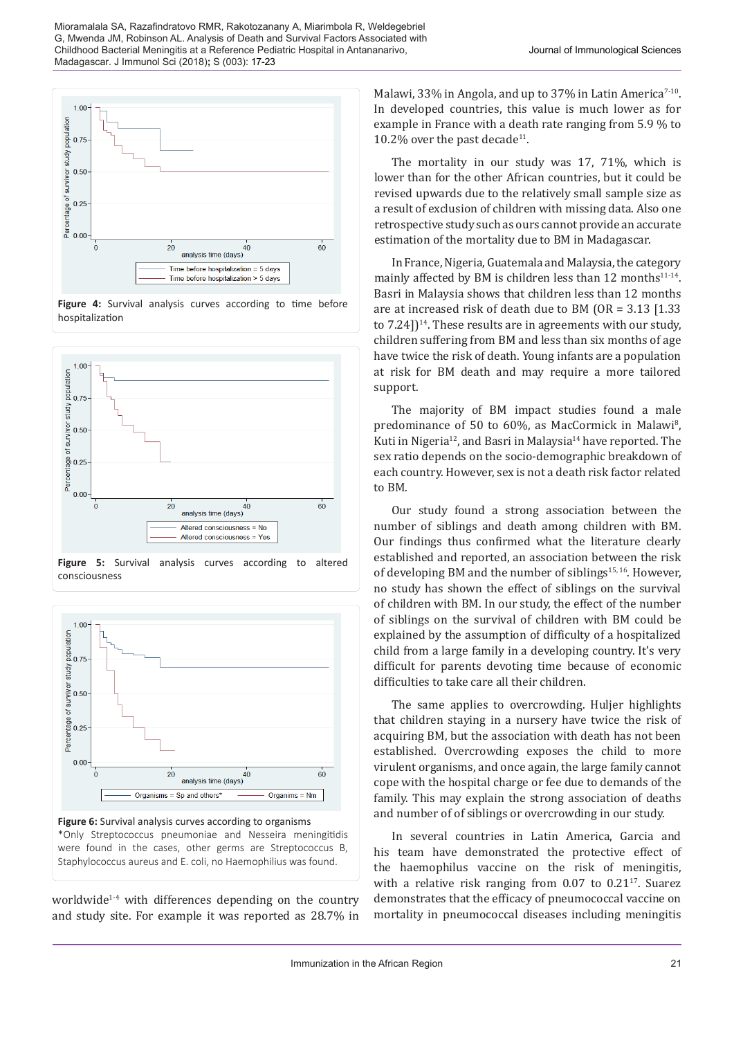

**Figure 4:** Survival analysis curves according to time before hospitalization





were found in the cases, other germs are Streptococcus B, Staphylococcus aureus and E. coli, no Haemophilius was found.

worldwide1-4 with differences depending on the country and study site. For example it was reported as 28.7% in Malawi, 33% in Angola, and up to 37% in Latin America<sup>7-10</sup>. In developed countries, this value is much lower as for example in France with a death rate ranging from 5.9 % to 10.2% over the past decade<sup>11</sup>.

The mortality in our study was 17, 71%, which is lower than for the other African countries, but it could be revised upwards due to the relatively small sample size as a result of exclusion of children with missing data. Also one retrospective study such as ours cannot provide an accurate estimation of the mortality due to BM in Madagascar.

In France, Nigeria, Guatemala and Malaysia, the category mainly affected by BM is children less than 12 months $11-14$ . Basri in Malaysia shows that children less than 12 months are at increased risk of death due to BM (OR = 3.13 [1.33 to  $7.24$ ] $14.$  These results are in agreements with our study, children suffering from BM and less than six months of age have twice the risk of death. Young infants are a population at risk for BM death and may require a more tailored support.

The majority of BM impact studies found a male predominance of 50 to 60%, as MacCormick in Malawi<sup>8</sup>, Kuti in Nigeria<sup>12</sup>, and Basri in Malaysia<sup>14</sup> have reported. The sex ratio depends on the socio-demographic breakdown of each country. However, sex is not a death risk factor related to BM.

Our study found a strong association between the number of siblings and death among children with BM. Our findings thus confirmed what the literature clearly established and reported, an association between the risk of developing BM and the number of siblings<sup>15, 16</sup>. However, no study has shown the effect of siblings on the survival of children with BM. In our study, the effect of the number of siblings on the survival of children with BM could be explained by the assumption of difficulty of a hospitalized child from a large family in a developing country. It's very difficult for parents devoting time because of economic difficulties to take care all their children.

The same applies to overcrowding. Huljer highlights that children staying in a nursery have twice the risk of acquiring BM, but the association with death has not been established. Overcrowding exposes the child to more virulent organisms, and once again, the large family cannot cope with the hospital charge or fee due to demands of the family. This may explain the strong association of deaths and number of of siblings or overcrowding in our study.

In several countries in Latin America, Garcia and his team have demonstrated the protective effect of the haemophilus vaccine on the risk of meningitis, with a relative risk ranging from  $0.07$  to  $0.21$ <sup>17</sup>. Suarez demonstrates that the efficacy of pneumococcal vaccine on mortality in pneumococcal diseases including meningitis